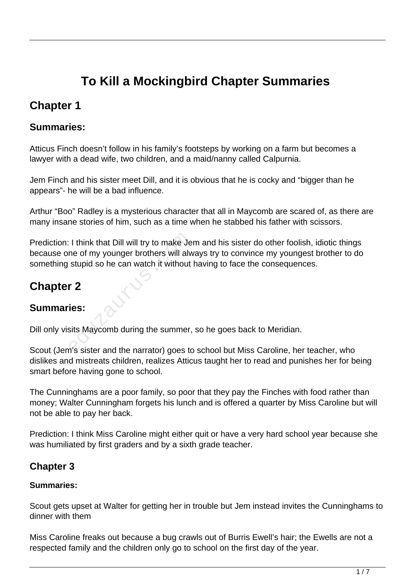# **To Kill a Mockingbird Chapter Summaries**

## **Chapter 1**

### **Summaries:**

Atticus Finch doesn't follow in his family's footsteps by working on a farm but becomes a lawyer with a dead wife, two children, and a maid/nanny called Calpurnia.

Jem Finch and his sister meet Dill, and it is obvious that he is cocky and "bigger than he appears"- he will be a bad influence.

Arthur "Boo" Radley is a mysterious character that all in Maycomb are scared of, as there are many insane stories of him, such as a time when he stabbed his father with scissors.

Prediction: I think that Dill will try to make Jem and his sister do other foolish, idiotic things because one of my younger brothers will always try to convince my youngest brother to do something stupid so he can watch it without having to face the consequences. I think that Dill will try to make Je<br>ne of my younger brothers will alw<br>stupid so he can watch it without<br>r<br>2<br>ies:<br>sits Maycomb during the summer,<br>n's sister and the narrator) goes to

# **Chapter 2**

### **Summaries:**

Dill only visits Maycomb during the summer, so he goes back to Meridian.

Scout (Jem's sister and the narrator) goes to school but Miss Caroline, her teacher, who dislikes and mistreats children, realizes Atticus taught her to read and punishes her for being smart before having gone to school.

The Cunninghams are a poor family, so poor that they pay the Finches with food rather than money; Walter Cunningham forgets his lunch and is offered a quarter by Miss Caroline but will not be able to pay her back.

Prediction: I think Miss Caroline might either quit or have a very hard school year because she was humiliated by first graders and by a sixth grade teacher.

### **Chapter 3**

#### **Summaries:**

Scout gets upset at Walter for getting her in trouble but Jem instead invites the Cunninghams to dinner with them

Miss Caroline freaks out because a bug crawls out of Burris Ewell's hair; the Ewells are not a respected family and the children only go to school on the first day of the year.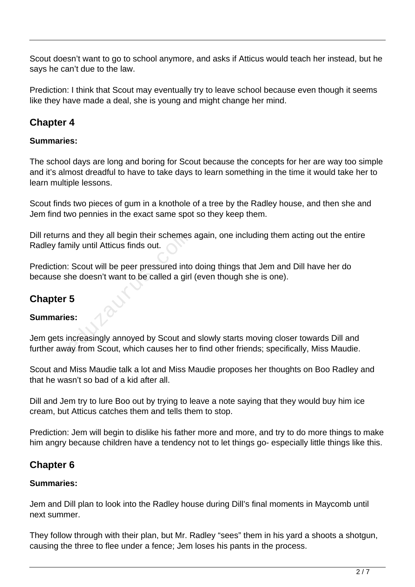Scout doesn't want to go to school anymore, and asks if Atticus would teach her instead, but he says he can't due to the law.

Prediction: I think that Scout may eventually try to leave school because even though it seems like they have made a deal, she is young and might change her mind.

### **Chapter 4**

#### **Summaries:**

The school days are long and boring for Scout because the concepts for her are way too simple and it's almost dreadful to have to take days to learn something in the time it would take her to learn multiple lessons.

Scout finds two pieces of gum in a knothole of a tree by the Radley house, and then she and Jem find two pennies in the exact same spot so they keep them.

Dill returns and they all begin their schemes again, one including them acting out the entire Radley family until Atticus finds out.

Prediction: Scout will be peer pressured into doing things that Jem and Dill have her do because she doesn't want to be called a girl (even though she is one).

### **Chapter 5**

#### **Summaries:**

Jem gets increasingly annoyed by Scout and slowly starts moving closer towards Dill and Dill returns and they all begin their schemes again, one including them acting out the entir<br>Radley family until Atticus finds out.<br>Prediction: Scout will be peer pressured into doing things that Jem and Dill have her do<br>b

Scout and Miss Maudie talk a lot and Miss Maudie proposes her thoughts on Boo Radley and that he wasn't so bad of a kid after all.

Dill and Jem try to lure Boo out by trying to leave a note saying that they would buy him ice cream, but Atticus catches them and tells them to stop.

Prediction: Jem will begin to dislike his father more and more, and try to do more things to make him angry because children have a tendency not to let things go- especially little things like this.

### **Chapter 6**

#### **Summaries:**

Jem and Dill plan to look into the Radley house during Dill's final moments in Maycomb until next summer.

They follow through with their plan, but Mr. Radley "sees" them in his yard a shoots a shotgun, causing the three to flee under a fence; Jem loses his pants in the process.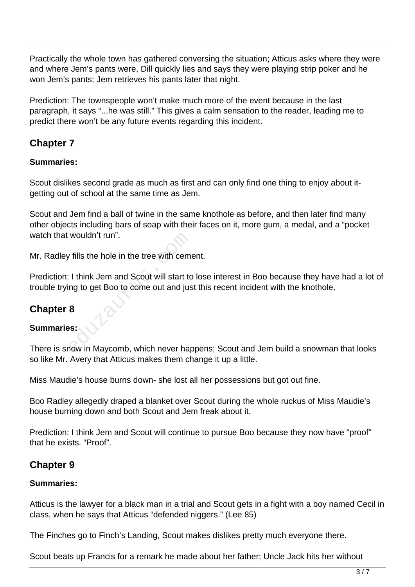Practically the whole town has gathered conversing the situation; Atticus asks where they were and where Jem's pants were, Dill quickly lies and says they were playing strip poker and he won Jem's pants; Jem retrieves his pants later that night.

Prediction: The townspeople won't make much more of the event because in the last paragraph, it says "...he was still." This gives a calm sensation to the reader, leading me to predict there won't be any future events regarding this incident.

### **Chapter 7**

#### **Summaries:**

Scout dislikes second grade as much as first and can only find one thing to enjoy about itgetting out of school at the same time as Jem.

Scout and Jem find a ball of twine in the same knothole as before, and then later find many other objects including bars of soap with their faces on it, more gum, a medal, and a "pocket watch that wouldn't run".

Mr. Radley fills the hole in the tree with cement.

Prediction: I think Jem and Scout will start to lose interest in Boo because they have had a lot of trouble trying to get Boo to come out and just this recent incident with the knothole. wouldn't run".<br>
Tills the hole in the tree with ceme<br>
Think Jem and Scout will start to<br>
ng to get Boo to come out and jus<br>
8<br>
S.<br>
Now in Maycomb, which never happy

### **Chapter 8**

#### **Summaries:**

There is snow in Maycomb, which never happens; Scout and Jem build a snowman that looks so like Mr. Avery that Atticus makes them change it up a little.

Miss Maudie's house burns down- she lost all her possessions but got out fine.

Boo Radley allegedly draped a blanket over Scout during the whole ruckus of Miss Maudie's house burning down and both Scout and Jem freak about it.

Prediction: I think Jem and Scout will continue to pursue Boo because they now have "proof" that he exists. "Proof".

#### **Chapter 9**

#### **Summaries:**

Atticus is the lawyer for a black man in a trial and Scout gets in a fight with a boy named Cecil in class, when he says that Atticus "defended niggers." (Lee 85)

The Finches go to Finch's Landing, Scout makes dislikes pretty much everyone there.

Scout beats up Francis for a remark he made about her father; Uncle Jack hits her without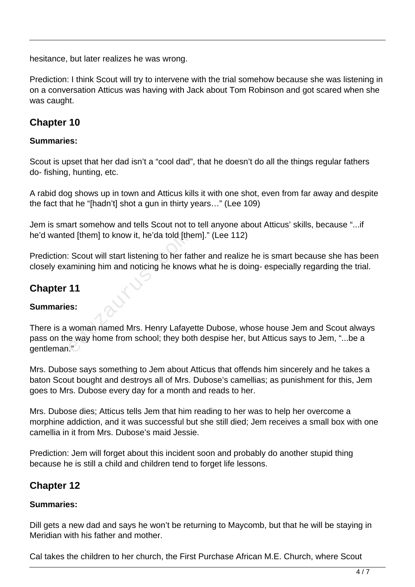hesitance, but later realizes he was wrong.

Prediction: I think Scout will try to intervene with the trial somehow because she was listening in on a conversation Atticus was having with Jack about Tom Robinson and got scared when she was caught.

### **Chapter 10**

#### **Summaries:**

Scout is upset that her dad isn't a "cool dad", that he doesn't do all the things regular fathers do- fishing, hunting, etc.

A rabid dog shows up in town and Atticus kills it with one shot, even from far away and despite the fact that he "[hadn't] shot a gun in thirty years…" (Lee 109)

Jem is smart somehow and tells Scout not to tell anyone about Atticus' skills, because "...if he'd wanted [them] to know it, he'da told [them]." (Lee 112)

Prediction: Scout will start listening to her father and realize he is smart because she has been closely examining him and noticing he knows what he is doing- especially regarding the trial.

### **Chapter 11**

#### **Summaries:**

There is a woman named Mrs. Henry Lafayette Dubose, whose house Jem and Scout always pass on the way home from school; they both despise her, but Atticus says to Jem, "...be a gentleman." ed [them] to know it, he'da told [the<br>
Scout will start listening to her fat<br>
amining him and noticing he know<br>
11<br>
SS:<br>
woman named Mrs. Henry Lafaye<br>
e way home from school; they bot<br>
"

Mrs. Dubose says something to Jem about Atticus that offends him sincerely and he takes a baton Scout bought and destroys all of Mrs. Dubose's camellias; as punishment for this, Jem goes to Mrs. Dubose every day for a month and reads to her.

Mrs. Dubose dies; Atticus tells Jem that him reading to her was to help her overcome a morphine addiction, and it was successful but she still died; Jem receives a small box with one camellia in it from Mrs. Dubose's maid Jessie.

Prediction: Jem will forget about this incident soon and probably do another stupid thing because he is still a child and children tend to forget life lessons.

### **Chapter 12**

#### **Summaries:**

Dill gets a new dad and says he won't be returning to Maycomb, but that he will be staying in Meridian with his father and mother.

Cal takes the children to her church, the First Purchase African M.E. Church, where Scout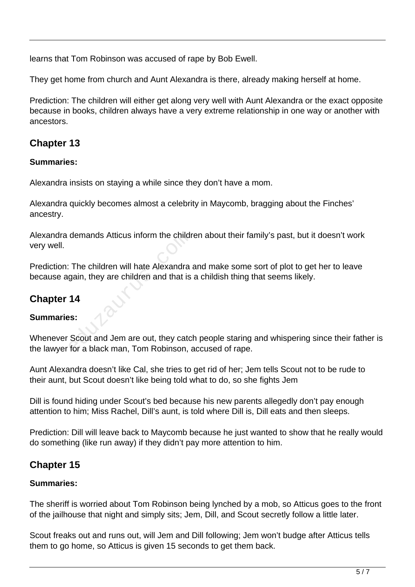learns that Tom Robinson was accused of rape by Bob Ewell.

They get home from church and Aunt Alexandra is there, already making herself at home.

Prediction: The children will either get along very well with Aunt Alexandra or the exact opposite because in books, children always have a very extreme relationship in one way or another with ancestors.

### **Chapter 13**

#### **Summaries:**

Alexandra insists on staying a while since they don't have a mom.

Alexandra quickly becomes almost a celebrity in Maycomb, bragging about the Finches' ancestry.

Alexandra demands Atticus inform the children about their family's past, but it doesn't work very well.

Prediction: The children will hate Alexandra and make some sort of plot to get her to leave because again, they are children and that is a childish thing that seems likely. demands Atticus inform the children<br>
The children will hate Alexandra<br>
gain, they are children and that is<br>
14<br>
SS:<br>
Scout and Jem are out, they catc<br>
for a black man, Tom Robinson, a

### **Chapter 14**

#### **Summaries:**

Whenever Scout and Jem are out, they catch people staring and whispering since their father is the lawyer for a black man, Tom Robinson, accused of rape.

Aunt Alexandra doesn't like Cal, she tries to get rid of her; Jem tells Scout not to be rude to their aunt, but Scout doesn't like being told what to do, so she fights Jem

Dill is found hiding under Scout's bed because his new parents allegedly don't pay enough attention to him; Miss Rachel, Dill's aunt, is told where Dill is, Dill eats and then sleeps.

Prediction: Dill will leave back to Maycomb because he just wanted to show that he really would do something (like run away) if they didn't pay more attention to him.

### **Chapter 15**

#### **Summaries:**

The sheriff is worried about Tom Robinson being lynched by a mob, so Atticus goes to the front of the jailhouse that night and simply sits; Jem, Dill, and Scout secretly follow a little later.

Scout freaks out and runs out, will Jem and Dill following; Jem won't budge after Atticus tells them to go home, so Atticus is given 15 seconds to get them back.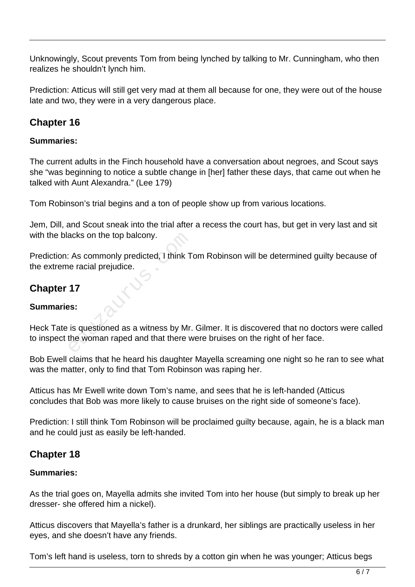Unknowingly, Scout prevents Tom from being lynched by talking to Mr. Cunningham, who then realizes he shouldn't lynch him.

Prediction: Atticus will still get very mad at them all because for one, they were out of the house late and two, they were in a very dangerous place.

### **Chapter 16**

#### **Summaries:**

The current adults in the Finch household have a conversation about negroes, and Scout says she "was beginning to notice a subtle change in [her] father these days, that came out when he talked with Aunt Alexandra." (Lee 179)

Tom Robinson's trial begins and a ton of people show up from various locations.

Jem, Dill, and Scout sneak into the trial after a recess the court has, but get in very last and sit with the blacks on the top balcony.

Prediction: As commonly predicted, I think Tom Robinson will be determined guilty because of the extreme racial prejudice. Acks on the top balcony.<br>
As commonly predicted, 1 think T<br>
e racial prejudice.<br>
17<br>
S:<br>
is questioned as a witness by Mr.<br>
the woman raped and that there w

### **Chapter 17**

#### **Summaries:**

Heck Tate is questioned as a witness by Mr. Gilmer. It is discovered that no doctors were called to inspect the woman raped and that there were bruises on the right of her face.

Bob Ewell claims that he heard his daughter Mayella screaming one night so he ran to see what was the matter, only to find that Tom Robinson was raping her.

Atticus has Mr Ewell write down Tom's name, and sees that he is left-handed (Atticus concludes that Bob was more likely to cause bruises on the right side of someone's face).

Prediction: I still think Tom Robinson will be proclaimed guilty because, again, he is a black man and he could just as easily be left-handed.

#### **Chapter 18**

#### **Summaries:**

As the trial goes on, Mayella admits she invited Tom into her house (but simply to break up her dresser- she offered him a nickel).

Atticus discovers that Mayella's father is a drunkard, her siblings are practically useless in her eyes, and she doesn't have any friends.

Tom's left hand is useless, torn to shreds by a cotton gin when he was younger; Atticus begs